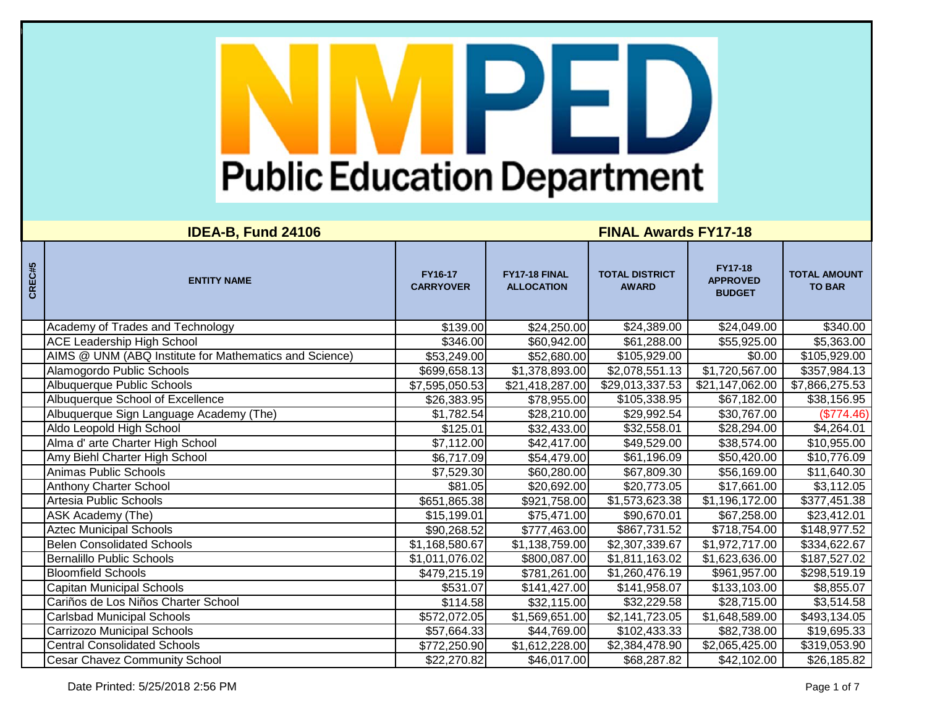| CREC#5 | <b>ENTITY NAME</b>                                     | FY16-17<br><b>CARRYOVER</b> | FY17-18 FINAL<br><b>ALLOCATION</b> | <b>TOTAL DISTRICT</b><br><b>AWARD</b> | <b>FY17-18</b><br><b>APPROVED</b><br><b>BUDGET</b> | <b>TOTAL AMOUNT</b><br><b>TO BAR</b> |
|--------|--------------------------------------------------------|-----------------------------|------------------------------------|---------------------------------------|----------------------------------------------------|--------------------------------------|
|        | Academy of Trades and Technology                       | \$139.00                    | \$24,250.00                        | \$24,389.00                           | \$24,049.00                                        | \$340.00                             |
|        | <b>ACE Leadership High School</b>                      | \$346.00                    | \$60,942.00                        | \$61,288.00                           | \$55,925.00                                        | \$5,363.00                           |
|        | AIMS @ UNM (ABQ Institute for Mathematics and Science) | \$53,249.00                 | \$52,680.00                        | \$105,929.00                          | \$0.00                                             | \$105,929.00                         |
|        | Alamogordo Public Schools                              | \$699,658.13                | \$1,378,893.00                     | \$2,078,551.13                        | \$1,720,567.00                                     | \$357,984.13                         |
|        | Albuquerque Public Schools                             | \$7,595,050.53              | \$21,418,287.00                    | \$29,013,337.53                       | \$21,147,062.00                                    | \$7,866,275.53                       |
|        | Albuquerque School of Excellence                       | \$26,383.95                 | \$78,955.00                        | \$105,338.95                          | \$67,182.00                                        | \$38,156.95                          |
|        | Albuquerque Sign Language Academy (The)                | \$1,782.54                  | \$28,210.00                        | \$29,992.54                           | \$30,767.00                                        | (\$774.46)                           |
|        | Aldo Leopold High School                               | \$125.01                    | \$32,433.00                        | \$32,558.01                           | \$28,294.00                                        | \$4,264.01                           |
|        | Alma d' arte Charter High School                       | \$7,112.00                  | \$42,417.00                        | \$49,529.00                           | \$38,574.00                                        | \$10,955.00                          |
|        | Amy Biehl Charter High School                          | \$6,717.09                  | \$54,479.00                        | \$61,196.09                           | \$50,420.00                                        | \$10,776.09                          |
|        | Animas Public Schools                                  | \$7,529.30                  | \$60,280.00                        | \$67,809.30                           | \$56,169.00                                        | \$11,640.30                          |
|        | Anthony Charter School                                 | \$81.05                     | \$20,692.00                        | \$20,773.05                           | \$17,661.00                                        | \$3,112.05                           |
|        | Artesia Public Schools                                 | \$651,865.38                | \$921,758.00                       | \$1,573,623.38                        | \$1,196,172.00                                     | \$377,451.38                         |
|        | ASK Academy (The)                                      | \$15,199.01                 | \$75,471.00                        | \$90,670.01                           | \$67,258.00                                        | \$23,412.01                          |
|        | <b>Aztec Municipal Schools</b>                         | \$90,268.52                 | \$777,463.00                       | \$867,731.52                          | \$718,754.00                                       | \$148,977.52                         |
|        | <b>Belen Consolidated Schools</b>                      | \$1,168,580.67              | \$1,138,759.00                     | \$2,307,339.67                        | \$1,972,717.00                                     | \$334,622.67                         |
|        | <b>Bernalillo Public Schools</b>                       | \$1,011,076.02              | \$800,087.00                       | \$1,811,163.02                        | \$1,623,636.00                                     | \$187,527.02                         |
|        | <b>Bloomfield Schools</b>                              | \$479,215.19                | \$781,261.00                       | \$1,260,476.19                        | \$961,957.00                                       | \$298,519.19                         |
|        | <b>Capitan Municipal Schools</b>                       | \$531.07                    | \$141,427.00                       | \$141,958.07                          | \$133,103.00                                       | \$8,855.07                           |
|        | Cariños de Los Niños Charter School                    | \$114.58                    | \$32,115.00                        | \$32,229.58                           | \$28,715.00                                        | \$3,514.58                           |
|        | <b>Carlsbad Municipal Schools</b>                      | \$572,072.05                | \$1,569,651.00                     | \$2,141,723.05                        | \$1,648,589.00                                     | \$493,134.05                         |
|        | <b>Carrizozo Municipal Schools</b>                     | \$57,664.33                 | \$44,769.00                        | \$102,433.33                          | \$82,738.00                                        | \$19,695.33                          |
|        | <b>Central Consolidated Schools</b>                    | \$772,250.90                | \$1,612,228.00                     | \$2,384,478.90                        | \$2,065,425.00                                     | \$319,053.90                         |
|        | <b>Cesar Chavez Community School</b>                   | \$22,270.82                 | \$46,017.00                        | \$68,287.82                           | \$42,102.00                                        | \$26,185.82                          |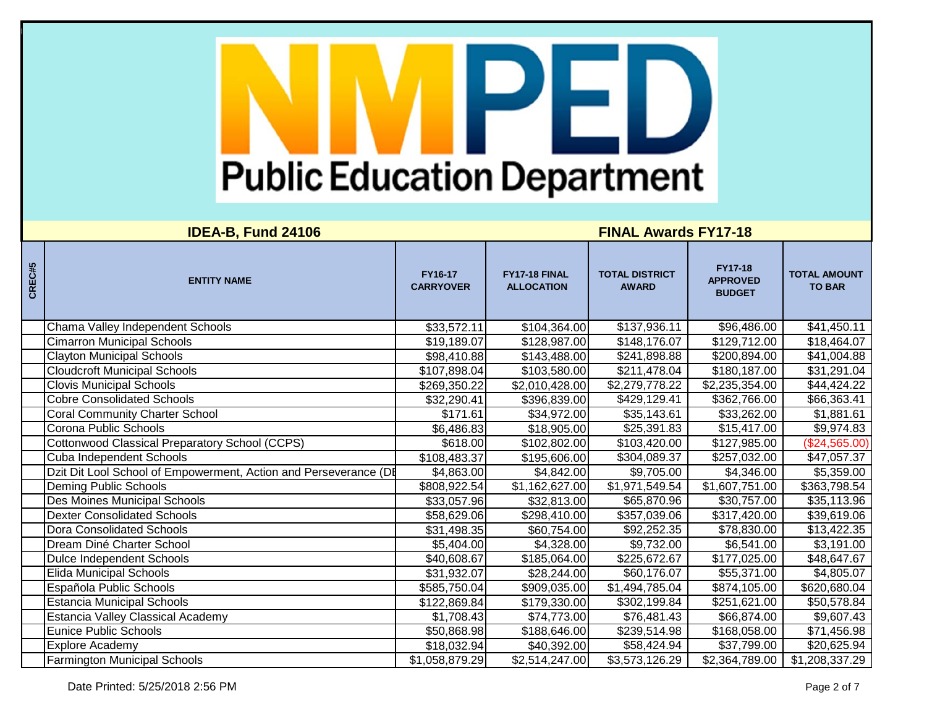| CREC#5 | <b>ENTITY NAME</b>                                               | FY16-17<br><b>CARRYOVER</b> | FY17-18 FINAL<br><b>ALLOCATION</b> | <b>TOTAL DISTRICT</b><br><b>AWARD</b> | <b>FY17-18</b><br><b>APPROVED</b><br><b>BUDGET</b> | <b>TOTAL AMOUNT</b><br><b>TO BAR</b> |
|--------|------------------------------------------------------------------|-----------------------------|------------------------------------|---------------------------------------|----------------------------------------------------|--------------------------------------|
|        | Chama Valley Independent Schools                                 | \$33,572.11                 | \$104,364.00                       | \$137,936.11                          | \$96,486.00                                        | \$41,450.11                          |
|        | <b>Cimarron Municipal Schools</b>                                | \$19,189.07                 | \$128,987.00                       | \$148,176.07                          | \$129,712.00                                       | \$18,464.07                          |
|        | <b>Clayton Municipal Schools</b>                                 | \$98,410.88                 | \$143,488.00                       | \$241,898.88                          | \$200,894.00                                       | \$41,004.88                          |
|        | <b>Cloudcroft Municipal Schools</b>                              | \$107,898.04                | \$103,580.00                       | \$211,478.04                          | \$180,187.00                                       | \$31,291.04                          |
|        | <b>Clovis Municipal Schools</b>                                  | \$269,350.22                | \$2,010,428.00                     | \$2,279,778.22                        | \$2,235,354.00                                     | \$44,424.22                          |
|        | <b>Cobre Consolidated Schools</b>                                | \$32,290.41                 | \$396,839.00                       | \$429,129.41                          | \$362,766.00                                       | \$66,363.41                          |
|        | <b>Coral Community Charter School</b>                            | \$171.61                    | \$34,972.00                        | \$35,143.61                           | \$33,262.00                                        | \$1,881.61                           |
|        | Corona Public Schools                                            | \$6,486.83                  | \$18,905.00                        | \$25,391.83                           | \$15,417.00                                        | \$9,974.83                           |
|        | <b>Cottonwood Classical Preparatory School (CCPS)</b>            | \$618.00                    | \$102,802.00                       | \$103,420.00                          | \$127,985.00                                       | (\$24,565.00)                        |
|        | Cuba Independent Schools                                         | \$108,483.37                | \$195,606.00                       | \$304,089.37                          | \$257,032.00                                       | \$47,057.37                          |
|        | Dzit Dit Lool School of Empowerment, Action and Perseverance (DI | \$4,863.00                  | \$4,842.00                         | \$9,705.00                            | \$4,346.00                                         | \$5,359.00                           |
|        | Deming Public Schools                                            | \$808,922.54                | \$1,162,627.00                     | \$1,971,549.54                        | \$1,607,751.00                                     | \$363,798.54                         |
|        | Des Moines Municipal Schools                                     | \$33,057.96                 | \$32,813.00                        | \$65,870.96                           | \$30,757.00                                        | \$35,113.96                          |
|        | <b>Dexter Consolidated Schools</b>                               | \$58,629.06                 | \$298,410.00                       | \$357,039.06                          | \$317,420.00                                       | \$39,619.06                          |
|        | Dora Consolidated Schools                                        | \$31,498.35                 | \$60,754.00                        | \$92,252.35                           | \$78,830.00                                        | \$13,422.35                          |
|        | Dream Diné Charter School                                        | \$5,404.00                  | \$4,328.00                         | \$9,732.00                            | \$6,541.00                                         | \$3,191.00                           |
|        | Dulce Independent Schools                                        | \$40,608.67                 | \$185,064.00                       | \$225,672.67                          | \$177,025.00                                       | \$48,647.67                          |
|        | <b>Elida Municipal Schools</b>                                   | \$31,932.07                 | \$28,244.00                        | \$60,176.07                           | \$55,371.00                                        | \$4,805.07                           |
|        | Española Public Schools                                          | \$585,750.04                | \$909,035.00                       | \$1,494,785.04                        | \$874,105.00                                       | \$620,680.04                         |
|        | <b>Estancia Municipal Schools</b>                                | \$122,869.84                | \$179,330.00                       | \$302,199.84                          | \$251,621.00                                       | \$50,578.84                          |
|        | <b>Estancia Valley Classical Academy</b>                         | \$1,708.43                  | \$74,773.00                        | \$76,481.43                           | \$66,874.00                                        | \$9,607.43                           |
|        | <b>Eunice Public Schools</b>                                     | \$50,868.98                 | \$188,646.00                       | \$239,514.98                          | \$168,058.00                                       | \$71,456.98                          |
|        | <b>Explore Academy</b>                                           | \$18,032.94                 | \$40,392.00                        | \$58,424.94                           | \$37,799.00                                        | \$20,625.94                          |
|        | <b>Farmington Municipal Schools</b>                              | \$1,058,879.29              | \$2,514,247.00                     | \$3,573,126.29                        | \$2,364,789.00                                     | \$1,208,337.29                       |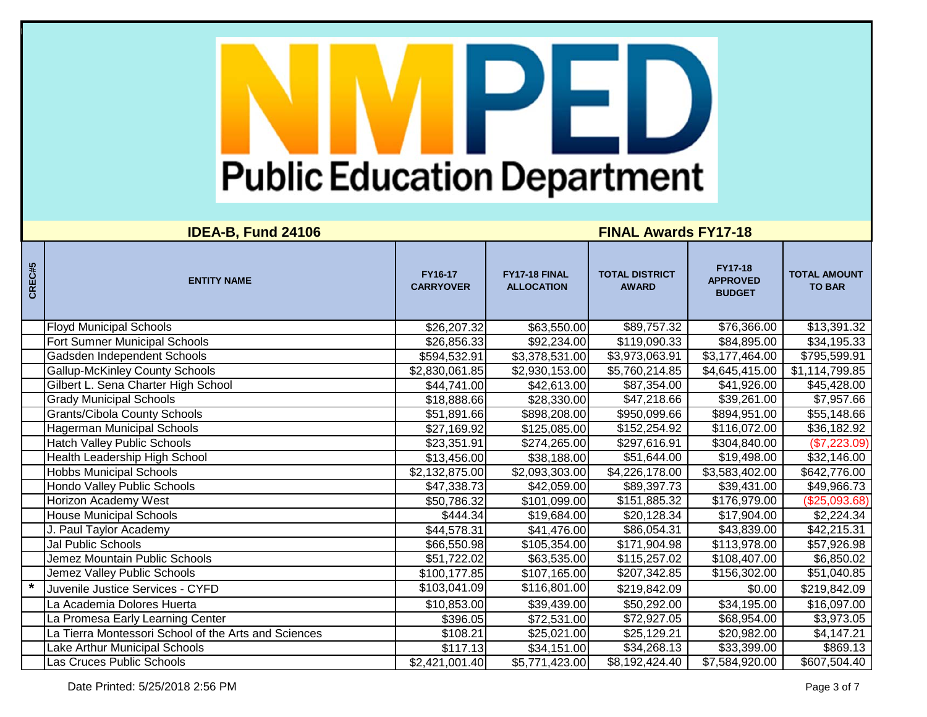| CREC#5 | <b>ENTITY NAME</b>                                   | FY16-17<br><b>CARRYOVER</b> | FY17-18 FINAL<br><b>ALLOCATION</b> | <b>TOTAL DISTRICT</b><br><b>AWARD</b> | <b>FY17-18</b><br><b>APPROVED</b><br><b>BUDGET</b> | <b>TOTAL AMOUNT</b><br><b>TO BAR</b> |
|--------|------------------------------------------------------|-----------------------------|------------------------------------|---------------------------------------|----------------------------------------------------|--------------------------------------|
|        | <b>Floyd Municipal Schools</b>                       | \$26,207.32                 | \$63,550.00                        | \$89,757.32                           | \$76,366.00                                        | \$13,391.32                          |
|        | Fort Sumner Municipal Schools                        | \$26,856.33                 | \$92,234.00                        | \$119,090.33                          | \$84,895.00                                        | \$34,195.33                          |
|        | Gadsden Independent Schools                          | \$594,532.91                | \$3,378,531.00                     | \$3,973,063.91                        | \$3,177,464.00                                     | \$795,599.91                         |
|        | <b>Gallup-McKinley County Schools</b>                | \$2,830,061.85              | \$2,930,153.00                     | \$5,760,214.85                        | \$4,645,415.00                                     | \$1,114,799.85                       |
|        | Gilbert L. Sena Charter High School                  | \$44,741.00                 | \$42,613.00                        | \$87,354.00                           | \$41,926.00                                        | \$45,428.00                          |
|        | <b>Grady Municipal Schools</b>                       | \$18,888.66                 | \$28,330.00                        | \$47,218.66                           | \$39,261.00                                        | \$7,957.66                           |
|        | Grants/Cibola County Schools                         | \$51,891.66                 | \$898,208.00                       | \$950,099.66                          | \$894,951.00                                       | \$55,148.66                          |
|        | Hagerman Municipal Schools                           | \$27,169.92                 | \$125,085.00                       | \$152,254.92                          | \$116,072.00                                       | \$36,182.92                          |
|        | <b>Hatch Valley Public Schools</b>                   | \$23,351.91                 | \$274,265.00                       | \$297,616.91                          | \$304,840.00                                       | (\$7,223.09)                         |
|        | Health Leadership High School                        | \$13,456.00                 | \$38,188.00                        | \$51,644.00                           | \$19,498.00                                        | \$32,146.00                          |
|        | <b>Hobbs Municipal Schools</b>                       | \$2,132,875.00              | \$2,093,303.00                     | \$4,226,178.00                        | \$3,583,402.00                                     | \$642,776.00                         |
|        | Hondo Valley Public Schools                          | \$47,338.73                 | \$42,059.00                        | \$89,397.73                           | \$39,431.00                                        | \$49,966.73                          |
|        | <b>Horizon Academy West</b>                          | \$50,786.32                 | \$101,099.00                       | $\overline{$151,885.32}$              | \$176,979.00                                       | (\$25,093.68)                        |
|        | <b>House Municipal Schools</b>                       | \$444.34                    | \$19,684.00                        | \$20,128.34                           | \$17,904.00                                        | \$2,224.34                           |
|        | J. Paul Taylor Academy                               | \$44,578.31                 | \$41,476.00                        | \$86,054.31                           | \$43,839.00                                        | \$42,215.31                          |
|        | Jal Public Schools                                   | \$66,550.98                 | \$105,354.00                       | \$171,904.98                          | \$113,978.00                                       | \$57,926.98                          |
|        | Jemez Mountain Public Schools                        | \$51,722.02                 | \$63,535.00                        | \$115,257.02                          | \$108,407.00                                       | \$6,850.02                           |
|        | Jemez Valley Public Schools                          | \$100,177.85                | \$107,165.00                       | \$207,342.85                          | \$156,302.00                                       | \$51,040.85                          |
|        | Juvenile Justice Services - CYFD                     | \$103,041.09                | \$116,801.00                       | \$219,842.09                          | \$0.00                                             | \$219,842.09                         |
|        | La Academia Dolores Huerta                           | \$10,853.00                 | \$39,439.00                        | \$50,292.00                           | \$34,195.00                                        | \$16,097.00                          |
|        | La Promesa Early Learning Center                     | \$396.05                    | \$72,531.00                        | \$72,927.05                           | \$68,954.00                                        | \$3,973.05                           |
|        | La Tierra Montessori School of the Arts and Sciences | \$108.21                    | \$25,021.00                        | \$25,129.21                           | \$20,982.00                                        | \$4,147.21                           |
|        | Lake Arthur Municipal Schools                        | \$117.13                    | \$34,151.00                        | \$34,268.13                           | \$33,399.00                                        | \$869.13                             |
|        | Las Cruces Public Schools                            | \$2,421,001.40              | \$5,771,423.00                     | \$8,192,424.40                        | \$7,584,920.00                                     | \$607,504.40                         |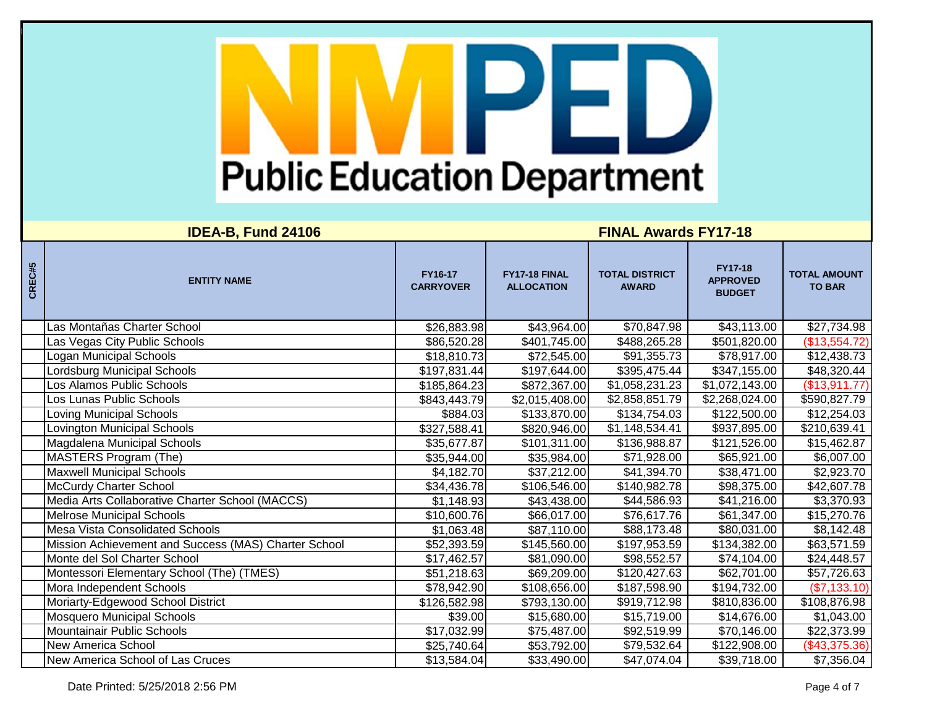| CREC#5 | <b>ENTITY NAME</b>                                   | FY16-17<br><b>CARRYOVER</b> | FY17-18 FINAL<br><b>ALLOCATION</b> | <b>TOTAL DISTRICT</b><br><b>AWARD</b> | <b>FY17-18</b><br><b>APPROVED</b><br><b>BUDGET</b> | <b>TOTAL AMOUNT</b><br><b>TO BAR</b> |
|--------|------------------------------------------------------|-----------------------------|------------------------------------|---------------------------------------|----------------------------------------------------|--------------------------------------|
|        | Las Montañas Charter School                          | \$26,883.98                 | \$43,964.00                        | \$70,847.98                           | \$43,113.00                                        | \$27,734.98                          |
|        | Las Vegas City Public Schools                        | \$86,520.28                 | \$401,745.00                       | \$488,265.28                          | \$501,820.00                                       | (\$13,554.72)                        |
|        | Logan Municipal Schools                              | \$18,810.73                 | \$72,545.00                        | \$91,355.73                           | \$78,917.00                                        | \$12,438.73                          |
|        | Lordsburg Municipal Schools                          | \$197,831.44                | \$197,644.00                       | \$395,475.44                          | \$347,155.00                                       | \$48,320.44                          |
|        | Los Alamos Public Schools                            | \$185,864.23                | \$872,367.00                       | \$1,058,231.23                        | \$1,072,143.00                                     | (\$13,911.77)                        |
|        | Los Lunas Public Schools                             | \$843,443.79                | \$2,015,408.00                     | \$2,858,851.79                        | \$2,268,024.00                                     | \$590,827.79                         |
|        | Loving Municipal Schools                             | \$884.03                    | \$133,870.00                       | \$134,754.03                          | \$122,500.00                                       | \$12,254.03                          |
|        | Lovington Municipal Schools                          | \$327,588.41                | \$820,946.00                       | \$1,148,534.41                        | \$937,895.00                                       | \$210,639.41                         |
|        | Magdalena Municipal Schools                          | \$35,677.87                 | \$101,311.00                       | \$136,988.87                          | \$121,526.00                                       | \$15,462.87                          |
|        | MASTERS Program (The)                                | \$35,944.00                 | \$35,984.00                        | \$71,928.00                           | \$65,921.00                                        | \$6,007.00                           |
|        | <b>Maxwell Municipal Schools</b>                     | \$4,182.70                  | \$37,212.00                        | \$41,394.70                           | \$38,471.00                                        | \$2,923.70                           |
|        | <b>McCurdy Charter School</b>                        | \$34,436.78                 | \$106,546.00                       | \$140,982.78                          | \$98,375.00                                        | \$42,607.78                          |
|        | Media Arts Collaborative Charter School (MACCS)      | \$1,148.93                  | \$43,438.00                        | \$44,586.93                           | \$41,216.00                                        | \$3,370.93                           |
|        | <b>Melrose Municipal Schools</b>                     | \$10,600.76                 | \$66,017.00                        | \$76,617.76                           | \$61,347.00                                        | \$15,270.76                          |
|        | <b>Mesa Vista Consolidated Schools</b>               | \$1,063.48                  | \$87,110.00                        | \$88,173.48                           | \$80,031.00                                        | \$8,142.48                           |
|        | Mission Achievement and Success (MAS) Charter School | \$52,393.59                 | \$145,560.00                       | \$197,953.59                          | \$134,382.00                                       | \$63,571.59                          |
|        | Monte del Sol Charter School                         | \$17,462.57                 | \$81,090.00                        | \$98,552.57                           | \$74,104.00                                        | \$24,448.57                          |
|        | Montessori Elementary School (The) (TMES)            | \$51,218.63                 | \$69,209.00                        | \$120,427.63                          | \$62,701.00                                        | \$57,726.63                          |
|        | Mora Independent Schools                             | \$78,942.90                 | \$108,656.00                       | \$187,598.90                          | \$194,732.00                                       | (\$7,133.10)                         |
|        | Moriarty-Edgewood School District                    | \$126,582.98                | \$793,130.00                       | \$919,712.98                          | \$810,836.00                                       | \$108,876.98                         |
|        | <b>Mosquero Municipal Schools</b>                    | \$39.00                     | \$15,680.00                        | \$15,719.00                           | \$14,676.00                                        | \$1,043.00                           |
|        | Mountainair Public Schools                           | \$17,032.99                 | \$75,487.00                        | \$92,519.99                           | \$70,146.00                                        | \$22,373.99                          |
|        | <b>New America School</b>                            | \$25,740.64                 | \$53,792.00                        | \$79,532.64                           | \$122,908.00                                       | (\$43,375.36)                        |
|        | New America School of Las Cruces                     | \$13,584.04                 | \$33,490.00                        | \$47,074.04                           | \$39,718.00                                        | \$7,356.04                           |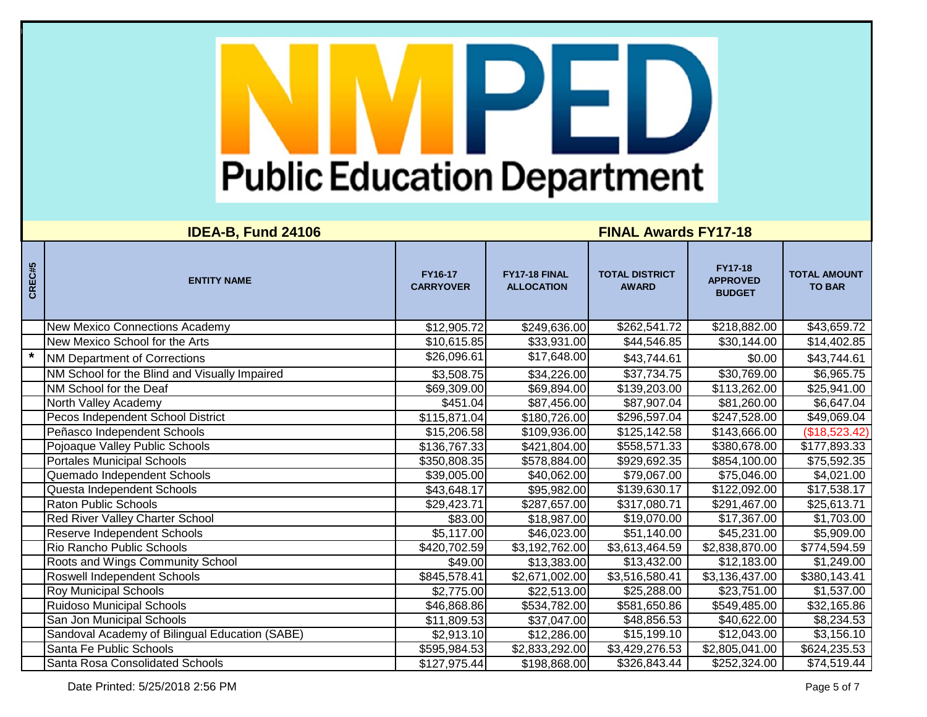## **IDEA-B, Fund 24106 FINAL Awards FY17-18**

| CREC#5  | <b>ENTITY NAME</b>                             | FY16-17<br><b>CARRYOVER</b> | FY17-18 FINAL<br><b>ALLOCATION</b> | <b>TOTAL DISTRICT</b><br><b>AWARD</b> | <b>FY17-18</b><br><b>APPROVED</b><br><b>BUDGET</b> | <b>TOTAL AMOUNT</b><br><b>TO BAR</b> |
|---------|------------------------------------------------|-----------------------------|------------------------------------|---------------------------------------|----------------------------------------------------|--------------------------------------|
|         | <b>New Mexico Connections Academy</b>          | \$12,905.72                 | \$249,636.00                       | \$262,541.72                          | \$218,882.00                                       | \$43,659.72                          |
|         | New Mexico School for the Arts                 | \$10,615.85                 | \$33,931.00                        | \$44,546.85                           | \$30,144.00                                        | \$14,402.85                          |
| $\star$ | <b>NM Department of Corrections</b>            | \$26,096.61                 | \$17,648.00                        | \$43,744.61                           | \$0.00                                             | \$43,744.61                          |
|         | NM School for the Blind and Visually Impaired  | \$3,508.75                  | \$34,226.00                        | \$37,734.75                           | \$30,769.00                                        | \$6,965.75                           |
|         | NM School for the Deaf                         | \$69,309.00                 | \$69,894.00                        | \$139,203.00                          | \$113,262.00                                       | \$25,941.00                          |
|         | North Valley Academy                           | $\overline{$451.04}$        | \$87,456.00                        | \$87,907.04                           | \$81,260.00                                        | \$6,647.04                           |
|         | Pecos Independent School District              | \$115,871.04                | \$180,726.00                       | \$296,597.04                          | \$247,528.00                                       | \$49,069.04                          |
|         | Peñasco Independent Schools                    | \$15,206.58                 | \$109,936.00                       | \$125,142.58                          | \$143,666.00                                       | (\$18,523.42)                        |
|         | Pojoaque Valley Public Schools                 | \$136,767.33                | \$421,804.00                       | \$558,571.33                          | \$380,678.00                                       | \$177,893.33                         |
|         | <b>Portales Municipal Schools</b>              | \$350,808.35                | \$578,884.00                       | \$929,692.35                          | \$854,100.00                                       | \$75,592.35                          |
|         | Quemado Independent Schools                    | \$39,005.00                 | \$40,062.00                        | \$79,067.00                           | \$75,046.00                                        | \$4,021.00                           |
|         | Questa Independent Schools                     | \$43,648.17                 | \$95,982.00                        | \$139,630.17                          | \$122,092.00                                       | \$17,538.17                          |
|         | Raton Public Schools                           | \$29,423.71                 | \$287,657.00                       | \$317,080.71                          | \$291,467.00                                       | \$25,613.71                          |
|         | <b>Red River Valley Charter School</b>         | \$83.00                     | \$18,987.00                        | \$19,070.00                           | \$17,367.00                                        | \$1,703.00                           |
|         | Reserve Independent Schools                    | \$5,117.00                  | \$46,023.00                        | \$51,140.00                           | \$45,231.00                                        | \$5,909.00                           |
|         | Rio Rancho Public Schools                      | \$420,702.59                | \$3,192,762.00                     | \$3,613,464.59                        | \$2,838,870.00                                     | \$774,594.59                         |
|         | Roots and Wings Community School               | \$49.00                     | \$13,383.00                        | \$13,432.00                           | \$12,183.00                                        | \$1,249.00                           |
|         | Roswell Independent Schools                    | \$845,578.41                | \$2,671,002.00                     | \$3,516,580.41                        | \$3,136,437.00                                     | \$380,143.41                         |
|         | <b>Roy Municipal Schools</b>                   | \$2,775.00                  | \$22,513.00                        | \$25,288.00                           | \$23,751.00                                        | \$1,537.00                           |
|         | <b>Ruidoso Municipal Schools</b>               | \$46,868.86                 | \$534,782.00                       | \$581,650.86                          | \$549,485.00                                       | \$32,165.86                          |
|         | San Jon Municipal Schools                      | \$11,809.53                 | \$37,047.00                        | \$48,856.53                           | \$40,622.00                                        | \$8,234.53                           |
|         | Sandoval Academy of Bilingual Education (SABE) | \$2,913.10                  | \$12,286.00                        | \$15,199.10                           | $\overline{$}12,043.00$                            | \$3,156.10                           |
|         | Santa Fe Public Schools                        | \$595,984.53                | \$2,833,292.00                     | \$3,429,276.53                        | \$2,805,041.00                                     | \$624,235.53                         |
|         | Santa Rosa Consolidated Schools                | \$127,975.44                | \$198,868.00                       | \$326,843.44                          | \$252,324.00                                       | \$74,519.44                          |

Date Printed:  $5/25/20182:56$  PM Page 5 of 7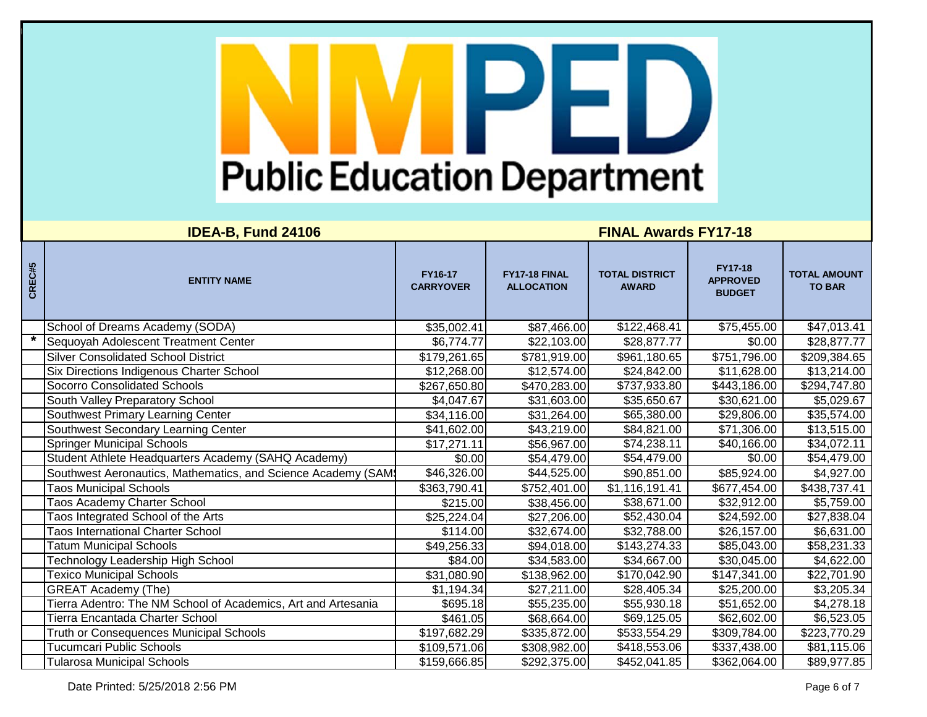| CREC#5 | <b>ENTITY NAME</b>                                            | FY16-17<br><b>CARRYOVER</b> | FY17-18 FINAL<br><b>ALLOCATION</b> | <b>TOTAL DISTRICT</b><br><b>AWARD</b> | <b>FY17-18</b><br><b>APPROVED</b><br><b>BUDGET</b> | <b>TOTAL AMOUNT</b><br><b>TO BAR</b> |
|--------|---------------------------------------------------------------|-----------------------------|------------------------------------|---------------------------------------|----------------------------------------------------|--------------------------------------|
|        | School of Dreams Academy (SODA)                               | \$35,002.41                 | \$87,466.00                        | \$122,468.41                          | \$75,455.00                                        | \$47,013.41                          |
|        | Sequoyah Adolescent Treatment Center                          | \$6,774.77                  | \$22,103.00                        | \$28,877.77                           | \$0.00                                             | \$28,877.77                          |
|        | <b>Silver Consolidated School District</b>                    | \$179,261.65                | \$781,919.00                       | \$961,180.65                          | \$751,796.00                                       | \$209,384.65                         |
|        | Six Directions Indigenous Charter School                      | \$12,268.00                 | \$12,574.00                        | \$24,842.00                           | \$11,628.00                                        | \$13,214.00                          |
|        | <b>Socorro Consolidated Schools</b>                           | \$267,650.80                | \$470,283.00                       | \$737,933.80                          | \$443,186.00                                       | \$294,747.80                         |
|        | South Valley Preparatory School                               | \$4,047.67                  | \$31,603.00                        | \$35,650.67                           | \$30,621.00                                        | \$5,029.67                           |
|        | Southwest Primary Learning Center                             | \$34,116.00                 | \$31,264.00                        | \$65,380.00                           | \$29,806.00                                        | \$35,574.00                          |
|        | Southwest Secondary Learning Center                           | \$41,602.00                 | \$43,219.00                        | \$84,821.00                           | \$71,306.00                                        | \$13,515.00                          |
|        | <b>Springer Municipal Schools</b>                             | \$17,271.11                 | \$56,967.00                        | \$74,238.11                           | \$40,166.00                                        | \$34,072.11                          |
|        | Student Athlete Headquarters Academy (SAHQ Academy)           | \$0.00                      | \$54,479.00                        | \$54,479.00                           | \$0.00                                             | \$54,479.00                          |
|        | Southwest Aeronautics, Mathematics, and Science Academy (SAM) | \$46,326.00                 | \$44,525.00                        | \$90,851.00                           | \$85,924.00                                        | \$4,927.00                           |
|        | <b>Taos Municipal Schools</b>                                 | \$363,790.41                | \$752,401.00                       | \$1,116,191.41                        | \$677,454.00                                       | \$438,737.41                         |
|        | Taos Academy Charter School                                   | \$215.00                    | \$38,456.00                        | \$38,671.00                           | \$32,912.00                                        | \$5,759.00                           |
|        | Taos Integrated School of the Arts                            | \$25,224.04                 | \$27,206.00                        | \$52,430.04                           | \$24,592.00                                        | \$27,838.04                          |
|        | <b>Taos International Charter School</b>                      | \$114.00                    | \$32,674.00                        | \$32,788.00                           | \$26,157.00                                        | \$6,631.00                           |
|        | <b>Tatum Municipal Schools</b>                                | \$49,256.33                 | \$94,018.00                        | \$143,274.33                          | \$85,043.00                                        | \$58,231.33                          |
|        | Technology Leadership High School                             | \$84.00                     | \$34,583.00                        | \$34,667.00                           | \$30,045.00                                        | \$4,622.00                           |
|        | <b>Texico Municipal Schools</b>                               | $\overline{$31,080.90}$     | \$138,962.00                       | \$170,042.90                          | \$147,341.00                                       | \$22,701.90                          |
|        | <b>GREAT Academy (The)</b>                                    | \$1,194.34                  | \$27,211.00                        | \$28,405.34                           | \$25,200.00                                        | \$3,205.34                           |
|        | Tierra Adentro: The NM School of Academics, Art and Artesania | \$695.18                    | \$55,235.00                        | \$55,930.18                           | \$51,652.00                                        | \$4,278.18                           |
|        | Tierra Encantada Charter School                               | \$461.05                    | \$68,664.00                        | \$69,125.05                           | \$62,602.00                                        | \$6,523.05                           |
|        | Truth or Consequences Municipal Schools                       | \$197,682.29                | \$335,872.00                       | \$533,554.29                          | \$309,784.00                                       | \$223,770.29                         |
|        | <b>Tucumcari Public Schools</b>                               | \$109,571.06                | \$308,982.00                       | \$418,553.06                          | \$337,438.00                                       | \$81,115.06                          |
|        | <b>Tularosa Municipal Schools</b>                             | \$159,666.85                | \$292,375.00                       | \$452,041.85                          | \$362,064.00                                       | \$89,977.85                          |